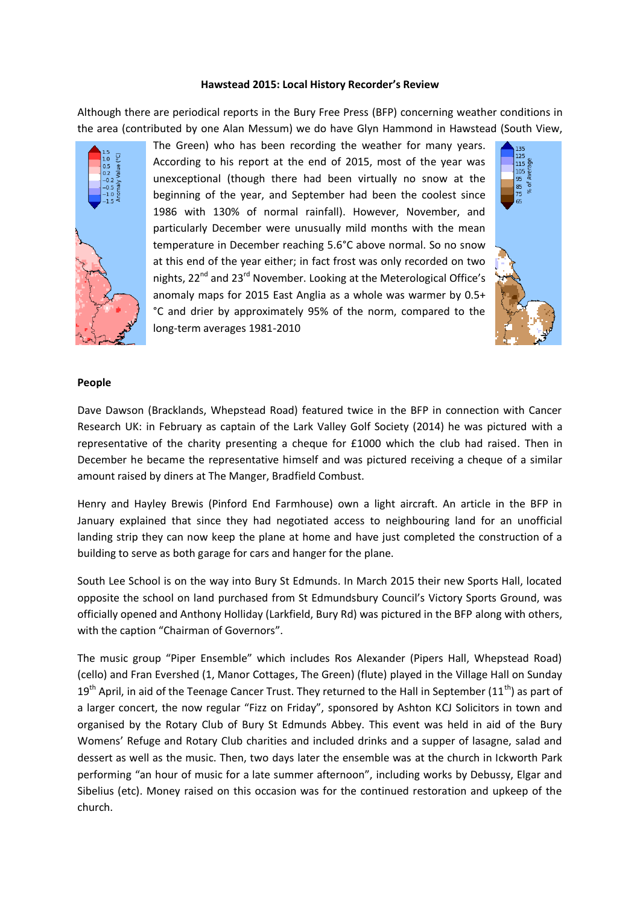#### **Hawstead 2015: Local History Recorder's Review**

Although there are periodical reports in the Bury Free Press (BFP) concerning weather conditions in the area (contributed by one Alan Messum) we do have Glyn Hammond in Hawstead (South View,



The Green) who has been recording the weather for many years. According to his report at the end of 2015, most of the year was unexceptional (though there had been virtually no snow at the beginning of the year, and September had been the coolest since 1986 with 130% of normal rainfall). However, November, and particularly December were unusually mild months with the mean temperature in December reaching 5.6°C above normal. So no snow at this end of the year either; in fact frost was only recorded on two nights, 22<sup>nd</sup> and 23<sup>rd</sup> November. Looking at the Meterological Office's anomaly maps for 2015 East Anglia as a whole was warmer by 0.5+ °C and drier by approximately 95% of the norm, compared to the long-term averages 1981-2010



### **People**

Dave Dawson (Bracklands, Whepstead Road) featured twice in the BFP in connection with Cancer Research UK: in February as captain of the Lark Valley Golf Society (2014) he was pictured with a representative of the charity presenting a cheque for £1000 which the club had raised. Then in December he became the representative himself and was pictured receiving a cheque of a similar amount raised by diners at The Manger, Bradfield Combust.

Henry and Hayley Brewis (Pinford End Farmhouse) own a light aircraft. An article in the BFP in January explained that since they had negotiated access to neighbouring land for an unofficial landing strip they can now keep the plane at home and have just completed the construction of a building to serve as both garage for cars and hanger for the plane.

South Lee School is on the way into Bury St Edmunds. In March 2015 their new Sports Hall, located opposite the school on land purchased from St Edmundsbury Council's Victory Sports Ground, was officially opened and Anthony Holliday (Larkfield, Bury Rd) was pictured in the BFP along with others, with the caption "Chairman of Governors".

The music group "Piper Ensemble" which includes Ros Alexander (Pipers Hall, Whepstead Road) (cello) and Fran Evershed (1, Manor Cottages, The Green) (flute) played in the Village Hall on Sunday  $19<sup>th</sup>$  April, in aid of the Teenage Cancer Trust. They returned to the Hall in September (11<sup>th</sup>) as part of a larger concert, the now regular "Fizz on Friday", sponsored by Ashton KCJ Solicitors in town and organised by the Rotary Club of Bury St Edmunds Abbey. This event was held in aid of the Bury Womens' Refuge and Rotary Club charities and included drinks and a supper of lasagne, salad and dessert as well as the music. Then, two days later the ensemble was at the church in Ickworth Park performing "an hour of music for a late summer afternoon", including works by Debussy, Elgar and Sibelius (etc). Money raised on this occasion was for the continued restoration and upkeep of the church.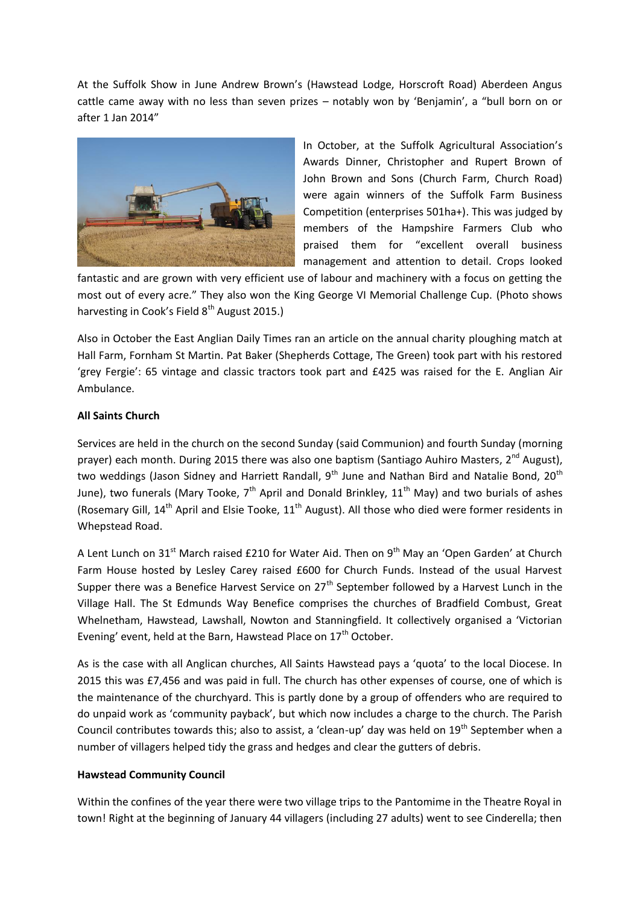At the Suffolk Show in June Andrew Brown's (Hawstead Lodge, Horscroft Road) Aberdeen Angus cattle came away with no less than seven prizes – notably won by 'Benjamin', a "bull born on or after 1 Jan 2014"



In October, at the Suffolk Agricultural Association's Awards Dinner, Christopher and Rupert Brown of John Brown and Sons (Church Farm, Church Road) were again winners of the Suffolk Farm Business Competition (enterprises 501ha+). This was judged by members of the Hampshire Farmers Club who praised them for "excellent overall business management and attention to detail. Crops looked

fantastic and are grown with very efficient use of labour and machinery with a focus on getting the most out of every acre." They also won the King George VI Memorial Challenge Cup. (Photo shows harvesting in Cook's Field 8<sup>th</sup> August 2015.)

Also in October the East Anglian Daily Times ran an article on the annual charity ploughing match at Hall Farm, Fornham St Martin. Pat Baker (Shepherds Cottage, The Green) took part with his restored 'grey Fergie': 65 vintage and classic tractors took part and £425 was raised for the E. Anglian Air Ambulance.

# **All Saints Church**

Services are held in the church on the second Sunday (said Communion) and fourth Sunday (morning prayer) each month. During 2015 there was also one baptism (Santiago Auhiro Masters, 2<sup>nd</sup> August), two weddings (Jason Sidney and Harriett Randall, 9<sup>th</sup> June and Nathan Bird and Natalie Bond, 20<sup>th</sup> June), two funerals (Mary Tooke,  $7<sup>th</sup>$  April and Donald Brinkley,  $11<sup>th</sup>$  May) and two burials of ashes (Rosemary Gill,  $14<sup>th</sup>$  April and Elsie Tooke,  $11<sup>th</sup>$  August). All those who died were former residents in Whepstead Road.

A Lent Lunch on 31<sup>st</sup> March raised £210 for Water Aid. Then on 9<sup>th</sup> May an 'Open Garden' at Church Farm House hosted by Lesley Carey raised £600 for Church Funds. Instead of the usual Harvest Supper there was a Benefice Harvest Service on  $27<sup>th</sup>$  September followed by a Harvest Lunch in the Village Hall. The St Edmunds Way Benefice comprises the churches of Bradfield Combust, Great Whelnetham, Hawstead, Lawshall, Nowton and Stanningfield. It collectively organised a 'Victorian Evening' event, held at the Barn, Hawstead Place on 17<sup>th</sup> October.

As is the case with all Anglican churches, All Saints Hawstead pays a 'quota' to the local Diocese. In 2015 this was £7,456 and was paid in full. The church has other expenses of course, one of which is the maintenance of the churchyard. This is partly done by a group of offenders who are required to do unpaid work as 'community payback', but which now includes a charge to the church. The Parish Council contributes towards this; also to assist, a 'clean-up' day was held on  $19<sup>th</sup>$  September when a number of villagers helped tidy the grass and hedges and clear the gutters of debris.

### **Hawstead Community Council**

Within the confines of the year there were two village trips to the Pantomime in the Theatre Royal in town! Right at the beginning of January 44 villagers (including 27 adults) went to see Cinderella; then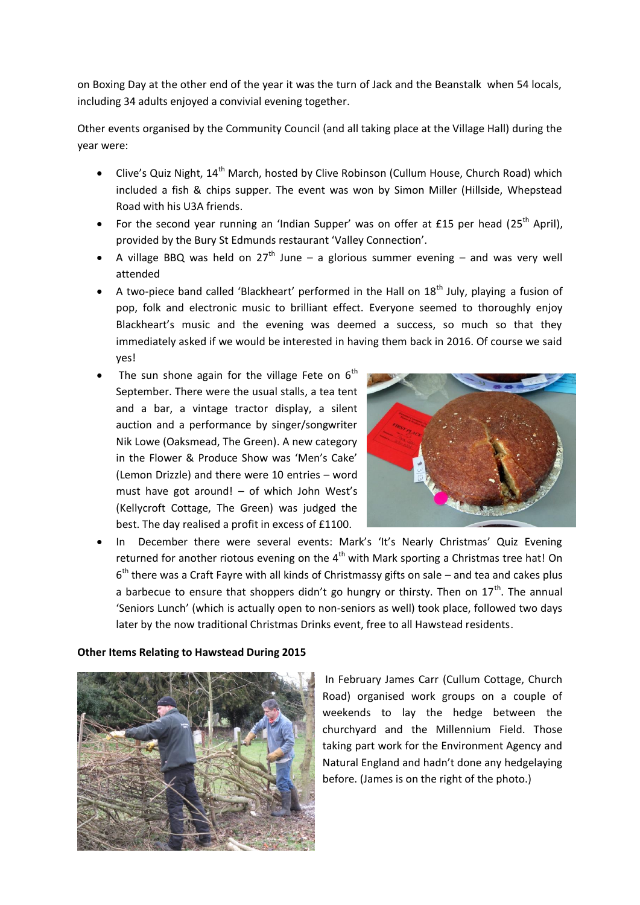on Boxing Day at the other end of the year it was the turn of Jack and the Beanstalk when 54 locals, including 34 adults enjoyed a convivial evening together.

Other events organised by the Community Council (and all taking place at the Village Hall) during the year were:

- Clive's Quiz Night, 14<sup>th</sup> March, hosted by Clive Robinson (Cullum House, Church Road) which included a fish & chips supper. The event was won by Simon Miller (Hillside, Whepstead Road with his U3A friends.
- For the second year running an 'Indian Supper' was on offer at £15 per head (25<sup>th</sup> April), provided by the Bury St Edmunds restaurant 'Valley Connection'.
- A village BBQ was held on  $27<sup>th</sup>$  June a glorious summer evening and was very well attended
- A two-piece band called 'Blackheart' performed in the Hall on  $18<sup>th</sup>$  July, playing a fusion of pop, folk and electronic music to brilliant effect. Everyone seemed to thoroughly enjoy Blackheart's music and the evening was deemed a success, so much so that they immediately asked if we would be interested in having them back in 2016. Of course we said yes!
- The sun shone again for the village Fete on  $6<sup>th</sup>$ September. There were the usual stalls, a tea tent and a bar, a vintage tractor display, a silent auction and a performance by singer/songwriter Nik Lowe (Oaksmead, The Green). A new category in the Flower & Produce Show was 'Men's Cake' (Lemon Drizzle) and there were 10 entries – word must have got around! – of which John West's (Kellycroft Cottage, The Green) was judged the best. The day realised a profit in excess of £1100.



 In December there were several events: Mark's 'It's Nearly Christmas' Quiz Evening returned for another riotous evening on the  $4<sup>th</sup>$  with Mark sporting a Christmas tree hat! On 6<sup>th</sup> there was a Craft Fayre with all kinds of Christmassy gifts on sale – and tea and cakes plus a barbecue to ensure that shoppers didn't go hungry or thirsty. Then on  $17<sup>th</sup>$ . The annual 'Seniors Lunch' (which is actually open to non-seniors as well) took place, followed two days later by the now traditional Christmas Drinks event, free to all Hawstead residents.

### **Other Items Relating to Hawstead During 2015**



In February James Carr (Cullum Cottage, Church Road) organised work groups on a couple of weekends to lay the hedge between the churchyard and the Millennium Field. Those taking part work for the Environment Agency and Natural England and hadn't done any hedgelaying before. (James is on the right of the photo.)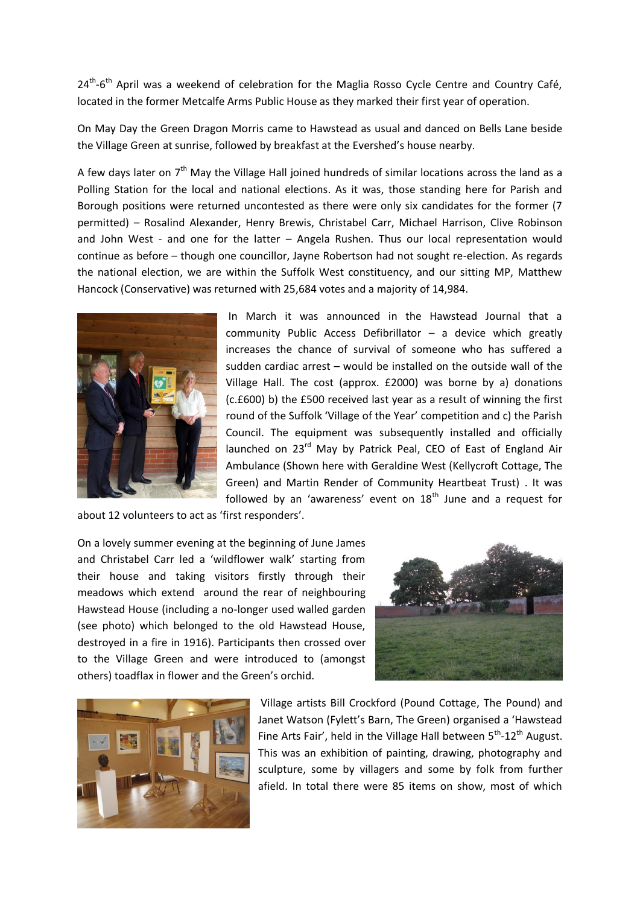24<sup>th</sup>-6<sup>th</sup> April was a weekend of celebration for the Maglia Rosso Cycle Centre and Country Café, located in the former Metcalfe Arms Public House as they marked their first year of operation.

On May Day the Green Dragon Morris came to Hawstead as usual and danced on Bells Lane beside the Village Green at sunrise, followed by breakfast at the Evershed's house nearby.

A few days later on  $7<sup>th</sup>$  May the Village Hall joined hundreds of similar locations across the land as a Polling Station for the local and national elections. As it was, those standing here for Parish and Borough positions were returned uncontested as there were only six candidates for the former (7 permitted) – Rosalind Alexander, Henry Brewis, Christabel Carr, Michael Harrison, Clive Robinson and John West - and one for the latter – Angela Rushen. Thus our local representation would continue as before – though one councillor, Jayne Robertson had not sought re-election. As regards the national election, we are within the Suffolk West constituency, and our sitting MP, Matthew Hancock (Conservative) was returned with 25,684 votes and a majority of 14,984.



In March it was announced in the Hawstead Journal that a community Public Access Defibrillator – a device which greatly increases the chance of survival of someone who has suffered a sudden cardiac arrest – would be installed on the outside wall of the Village Hall. The cost (approx. £2000) was borne by a) donations (c.£600) b) the £500 received last year as a result of winning the first round of the Suffolk 'Village of the Year' competition and c) the Parish Council. The equipment was subsequently installed and officially launched on 23<sup>rd</sup> May by Patrick Peal, CEO of East of England Air Ambulance (Shown here with Geraldine West (Kellycroft Cottage, The Green) and Martin Render of Community Heartbeat Trust) . It was followed by an 'awareness' event on  $18<sup>th</sup>$  June and a request for

about 12 volunteers to act as 'first responders'.

On a lovely summer evening at the beginning of June James and Christabel Carr led a 'wildflower walk' starting from their house and taking visitors firstly through their meadows which extend around the rear of neighbouring Hawstead House (including a no-longer used walled garden (see photo) which belonged to the old Hawstead House, destroyed in a fire in 1916). Participants then crossed over to the Village Green and were introduced to (amongst others) toadflax in flower and the Green's orchid.





Village artists Bill Crockford (Pound Cottage, The Pound) and Janet Watson (Fylett's Barn, The Green) organised a 'Hawstead Fine Arts Fair', held in the Village Hall between  $5<sup>th</sup>$ -12<sup>th</sup> August. This was an exhibition of painting, drawing, photography and sculpture, some by villagers and some by folk from further afield. In total there were 85 items on show, most of which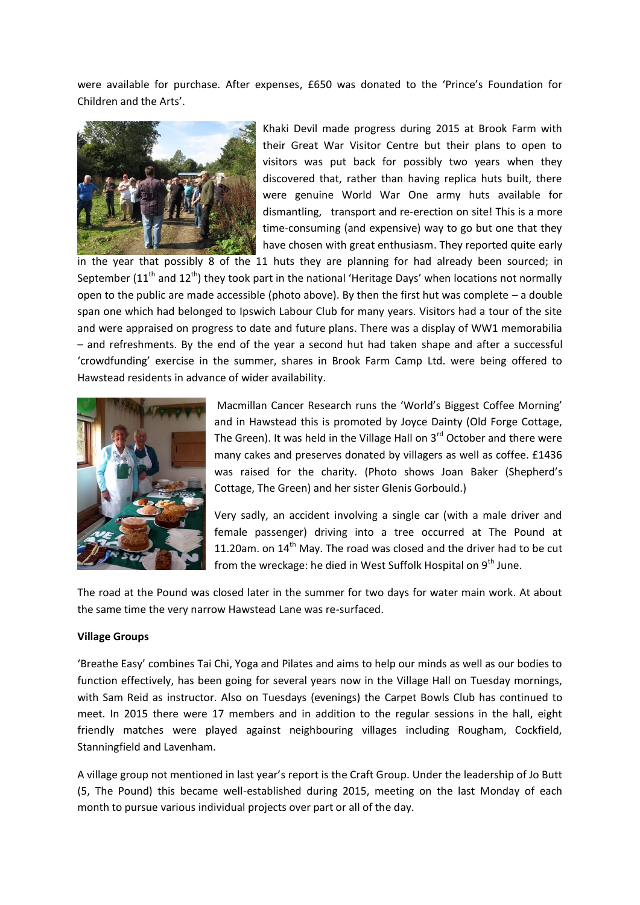were available for purchase. After expenses, £650 was donated to the 'Prince's Foundation for Children and the Arts'.



Khaki Devil made progress during 2015 at Brook Farm with their Great War Visitor Centre but their plans to open to visitors was put back for possibly two years when they discovered that, rather than having replica huts built, there were genuine World War One army huts available for dismantling, transport and re-erection on site! This is a more time-consuming (and expensive) way to go but one that they have chosen with great enthusiasm. They reported quite early

in the year that possibly 8 of the 11 huts they are planning for had already been sourced; in September ( $11<sup>th</sup>$  and  $12<sup>th</sup>$ ) they took part in the national 'Heritage Days' when locations not normally open to the public are made accessible (photo above). By then the first hut was complete  $-$  a double span one which had belonged to Ipswich Labour Club for many years. Visitors had a tour of the site and were appraised on progress to date and future plans. There was a display of WW1 memorabilia – and refreshments. By the end of the year a second hut had taken shape and after a successful 'crowdfunding' exercise in the summer, shares in Brook Farm Camp Ltd. were being offered to Hawstead residents in advance of wider availability.



Macmillan Cancer Research runs the 'World's Biggest Coffee Morning' and in Hawstead this is promoted by Joyce Dainty (Old Forge Cottage, The Green). It was held in the Village Hall on 3<sup>rd</sup> October and there were many cakes and preserves donated by villagers as well as coffee. £1436 was raised for the charity. (Photo shows Joan Baker (Shepherd's Cottage, The Green) and her sister Glenis Gorbould.)

Very sadly, an accident involving a single car (with a male driver and female passenger) driving into a tree occurred at The Pound at 11.20am. on  $14<sup>th</sup>$  May. The road was closed and the driver had to be cut from the wreckage: he died in West Suffolk Hospital on 9<sup>th</sup> June.

The road at the Pound was closed later in the summer for two days for water main work. At about the same time the very narrow Hawstead Lane was re-surfaced.

### **Village Groups**

'Breathe Easy' combines Tai Chi, Yoga and Pilates and aims to help our minds as well as our bodies to function effectively, has been going for several years now in the Village Hall on Tuesday mornings, with Sam Reid as instructor. Also on Tuesdays (evenings) the Carpet Bowls Club has continued to meet. In 2015 there were 17 members and in addition to the regular sessions in the hall, eight friendly matches were played against neighbouring villages including Rougham, Cockfield, Stanningfield and Lavenham.

A village group not mentioned in last year's report is the Craft Group. Under the leadership of Jo Butt (5, The Pound) this became well-established during 2015, meeting on the last Monday of each month to pursue various individual projects over part or all of the day.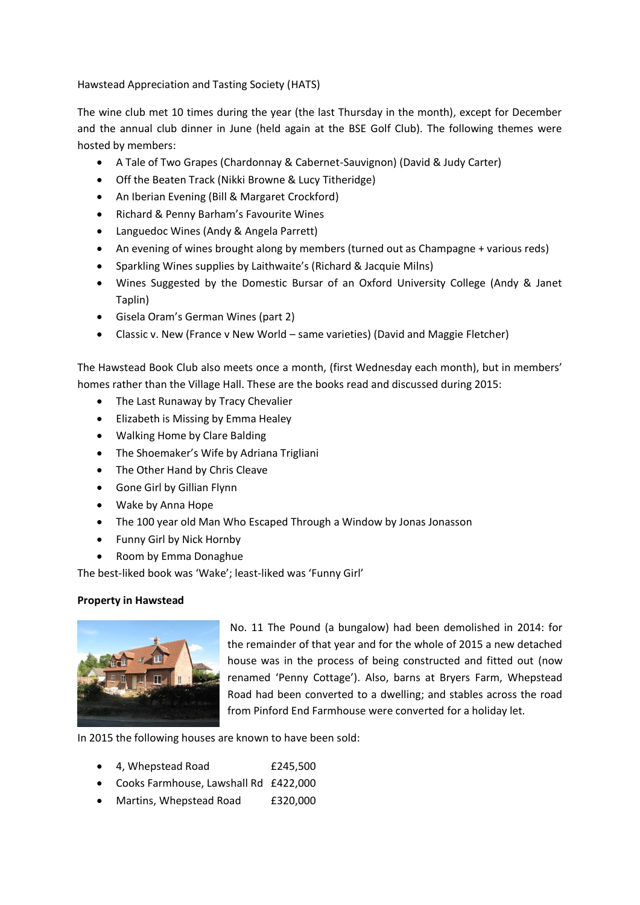Hawstead Appreciation and Tasting Society (HATS)

The wine club met 10 times during the year (the last Thursday in the month), except for December and the annual club dinner in June (held again at the BSE Golf Club). The following themes were hosted by members:

- A Tale of Two Grapes (Chardonnay & Cabernet-Sauvignon) (David & Judy Carter)
- Off the Beaten Track (Nikki Browne & Lucy Titheridge)
- An Iberian Evening (Bill & Margaret Crockford)
- Richard & Penny Barham's Favourite Wines
- Languedoc Wines (Andy & Angela Parrett)
- An evening of wines brought along by members (turned out as Champagne + various reds)
- Sparkling Wines supplies by Laithwaite's (Richard & Jacquie Milns)
- Wines Suggested by the Domestic Bursar of an Oxford University College (Andy & Janet Taplin)
- Gisela Oram's German Wines (part 2)
- Classic v. New (France v New World same varieties) (David and Maggie Fletcher)

The Hawstead Book Club also meets once a month, (first Wednesday each month), but in members' homes rather than the Village Hall. These are the books read and discussed during 2015:

- The Last Runaway by Tracy Chevalier
- Elizabeth is Missing by Emma Healey
- Walking Home by Clare Balding
- The Shoemaker's Wife by Adriana Trigliani
- The Other Hand by Chris Cleave
- Gone Girl by Gillian Flynn
- Wake by Anna Hope
- The 100 year old Man Who Escaped Through a Window by Jonas Jonasson
- Funny Girl by Nick Hornby
- Room by Emma Donaghue

The best-liked book was 'Wake'; least-liked was 'Funny Girl'

# **Property in Hawstead**



No. 11 The Pound (a bungalow) had been demolished in 2014: for the remainder of that year and for the whole of 2015 a new detached house was in the process of being constructed and fitted out (now renamed 'Penny Cottage'). Also, barns at Bryers Farm, Whepstead Road had been converted to a dwelling; and stables across the road from Pinford End Farmhouse were converted for a holiday let.

In 2015 the following houses are known to have been sold:

- 4, Whepstead Road £245,500
- Cooks Farmhouse, Lawshall Rd £422,000
- Martins, Whepstead Road £320,000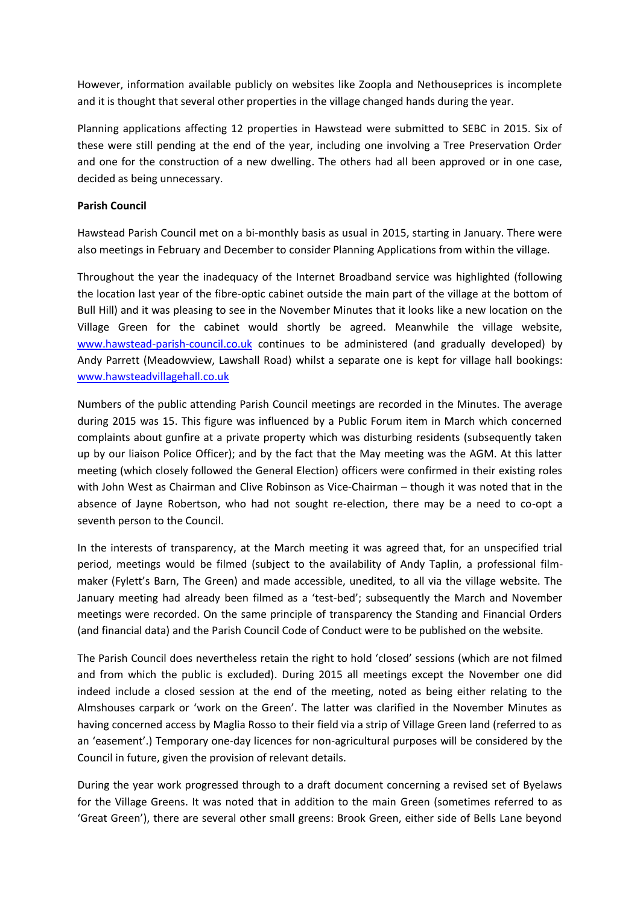However, information available publicly on websites like Zoopla and Nethouseprices is incomplete and it is thought that several other properties in the village changed hands during the year.

Planning applications affecting 12 properties in Hawstead were submitted to SEBC in 2015. Six of these were still pending at the end of the year, including one involving a Tree Preservation Order and one for the construction of a new dwelling. The others had all been approved or in one case, decided as being unnecessary.

# **Parish Council**

Hawstead Parish Council met on a bi-monthly basis as usual in 2015, starting in January. There were also meetings in February and December to consider Planning Applications from within the village.

Throughout the year the inadequacy of the Internet Broadband service was highlighted (following the location last year of the fibre-optic cabinet outside the main part of the village at the bottom of Bull Hill) and it was pleasing to see in the November Minutes that it looks like a new location on the Village Green for the cabinet would shortly be agreed. Meanwhile the village website, [www.hawstead-parish-council.co.uk](http://www.hawstead-parish-council.co.uk/) continues to be administered (and gradually developed) by Andy Parrett (Meadowview, Lawshall Road) whilst a separate one is kept for village hall bookings: [www.hawsteadvillagehall.co.uk](http://www.hawsteadvillagehall.co.uk/)

Numbers of the public attending Parish Council meetings are recorded in the Minutes. The average during 2015 was 15. This figure was influenced by a Public Forum item in March which concerned complaints about gunfire at a private property which was disturbing residents (subsequently taken up by our liaison Police Officer); and by the fact that the May meeting was the AGM. At this latter meeting (which closely followed the General Election) officers were confirmed in their existing roles with John West as Chairman and Clive Robinson as Vice-Chairman – though it was noted that in the absence of Jayne Robertson, who had not sought re-election, there may be a need to co-opt a seventh person to the Council.

In the interests of transparency, at the March meeting it was agreed that, for an unspecified trial period, meetings would be filmed (subject to the availability of Andy Taplin, a professional filmmaker (Fylett's Barn, The Green) and made accessible, unedited, to all via the village website. The January meeting had already been filmed as a 'test-bed'; subsequently the March and November meetings were recorded. On the same principle of transparency the Standing and Financial Orders (and financial data) and the Parish Council Code of Conduct were to be published on the website.

The Parish Council does nevertheless retain the right to hold 'closed' sessions (which are not filmed and from which the public is excluded). During 2015 all meetings except the November one did indeed include a closed session at the end of the meeting, noted as being either relating to the Almshouses carpark or 'work on the Green'. The latter was clarified in the November Minutes as having concerned access by Maglia Rosso to their field via a strip of Village Green land (referred to as an 'easement'.) Temporary one-day licences for non-agricultural purposes will be considered by the Council in future, given the provision of relevant details.

During the year work progressed through to a draft document concerning a revised set of Byelaws for the Village Greens. It was noted that in addition to the main Green (sometimes referred to as 'Great Green'), there are several other small greens: Brook Green, either side of Bells Lane beyond